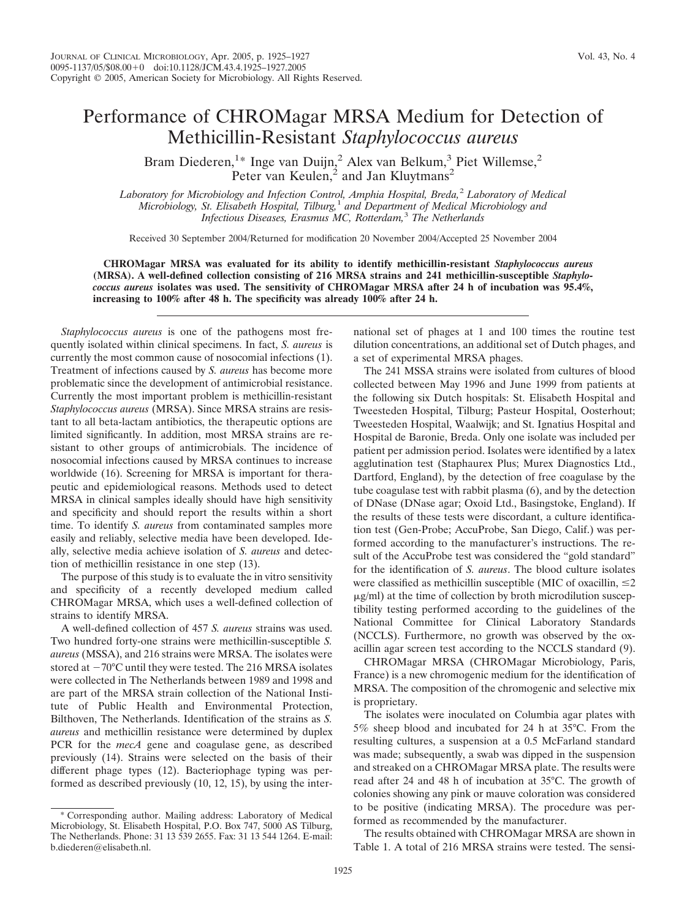## Performance of CHROMagar MRSA Medium for Detection of Methicillin-Resistant *Staphylococcus aureus*

Bram Diederen,<sup>1\*</sup> Inge van Duijn,<sup>2</sup> Alex van Belkum,<sup>3</sup> Piet Willemse,<sup>2</sup> Peter van Keulen,<sup>2</sup> and Jan Kluytmans<sup>2</sup>

*Laboratory for Microbiology and Infection Control, Amphia Hospital, Breda,*<sup>2</sup> *Laboratory of Medical Microbiology, St. Elisabeth Hospital, Tilburg,*<sup>1</sup> *and Department of Medical Microbiology and Infectious Diseases, Erasmus MC, Rotterdam,*<sup>3</sup> *The Netherlands*

Received 30 September 2004/Returned for modification 20 November 2004/Accepted 25 November 2004

**CHROMagar MRSA was evaluated for its ability to identify methicillin-resistant** *Staphylococcus aureus* **(MRSA). A well-defined collection consisting of 216 MRSA strains and 241 methicillin-susceptible** *Staphylococcus aureus* **isolates was used. The sensitivity of CHROMagar MRSA after 24 h of incubation was 95.4%, increasing to 100% after 48 h. The specificity was already 100% after 24 h.**

*Staphylococcus aureus* is one of the pathogens most frequently isolated within clinical specimens. In fact, *S. aureus* is currently the most common cause of nosocomial infections (1). Treatment of infections caused by *S. aureus* has become more problematic since the development of antimicrobial resistance. Currently the most important problem is methicillin-resistant *Staphylococcus aureus* (MRSA). Since MRSA strains are resistant to all beta-lactam antibiotics, the therapeutic options are limited significantly. In addition, most MRSA strains are resistant to other groups of antimicrobials. The incidence of nosocomial infections caused by MRSA continues to increase worldwide (16). Screening for MRSA is important for therapeutic and epidemiological reasons. Methods used to detect MRSA in clinical samples ideally should have high sensitivity and specificity and should report the results within a short time. To identify *S. aureus* from contaminated samples more easily and reliably, selective media have been developed. Ideally, selective media achieve isolation of *S. aureus* and detection of methicillin resistance in one step (13).

The purpose of this study is to evaluate the in vitro sensitivity and specificity of a recently developed medium called CHROMagar MRSA, which uses a well-defined collection of strains to identify MRSA.

A well-defined collection of 457 *S. aureus* strains was used. Two hundred forty-one strains were methicillin-susceptible *S. aureus* (MSSA), and 216 strains were MRSA. The isolates were stored at  $-70^{\circ}\mathrm{C}$  until they were tested. The 216 MRSA isolates were collected in The Netherlands between 1989 and 1998 and are part of the MRSA strain collection of the National Institute of Public Health and Environmental Protection, Bilthoven, The Netherlands. Identification of the strains as *S. aureus* and methicillin resistance were determined by duplex PCR for the *mecA* gene and coagulase gene, as described previously (14). Strains were selected on the basis of their different phage types (12). Bacteriophage typing was performed as described previously (10, 12, 15), by using the inter-

\* Corresponding author. Mailing address: Laboratory of Medical Microbiology, St. Elisabeth Hospital, P.O. Box 747, 5000 AS Tilburg, The Netherlands. Phone: 31 13 539 2655. Fax: 31 13 544 1264. E-mail: b.diederen@elisabeth.nl.

national set of phages at 1 and 100 times the routine test dilution concentrations, an additional set of Dutch phages, and a set of experimental MRSA phages.

The 241 MSSA strains were isolated from cultures of blood collected between May 1996 and June 1999 from patients at the following six Dutch hospitals: St. Elisabeth Hospital and Tweesteden Hospital, Tilburg; Pasteur Hospital, Oosterhout; Tweesteden Hospital, Waalwijk; and St. Ignatius Hospital and Hospital de Baronie, Breda. Only one isolate was included per patient per admission period. Isolates were identified by a latex agglutination test (Staphaurex Plus; Murex Diagnostics Ltd., Dartford, England), by the detection of free coagulase by the tube coagulase test with rabbit plasma (6), and by the detection of DNase (DNase agar; Oxoid Ltd., Basingstoke, England). If the results of these tests were discordant, a culture identification test (Gen-Probe; AccuProbe, San Diego, Calif.) was performed according to the manufacturer's instructions. The result of the AccuProbe test was considered the "gold standard" for the identification of *S. aureus*. The blood culture isolates were classified as methicillin susceptible (MIC of oxacillin,  $\leq 2$ )  $\mu$ g/ml) at the time of collection by broth microdilution susceptibility testing performed according to the guidelines of the National Committee for Clinical Laboratory Standards (NCCLS). Furthermore, no growth was observed by the oxacillin agar screen test according to the NCCLS standard (9).

CHROMagar MRSA (CHROMagar Microbiology, Paris, France) is a new chromogenic medium for the identification of MRSA. The composition of the chromogenic and selective mix is proprietary.

The isolates were inoculated on Columbia agar plates with 5% sheep blood and incubated for 24 h at 35°C. From the resulting cultures, a suspension at a 0.5 McFarland standard was made; subsequently, a swab was dipped in the suspension and streaked on a CHROMagar MRSA plate. The results were read after 24 and 48 h of incubation at 35°C. The growth of colonies showing any pink or mauve coloration was considered to be positive (indicating MRSA). The procedure was performed as recommended by the manufacturer.

The results obtained with CHROMagar MRSA are shown in Table 1. A total of 216 MRSA strains were tested. The sensi-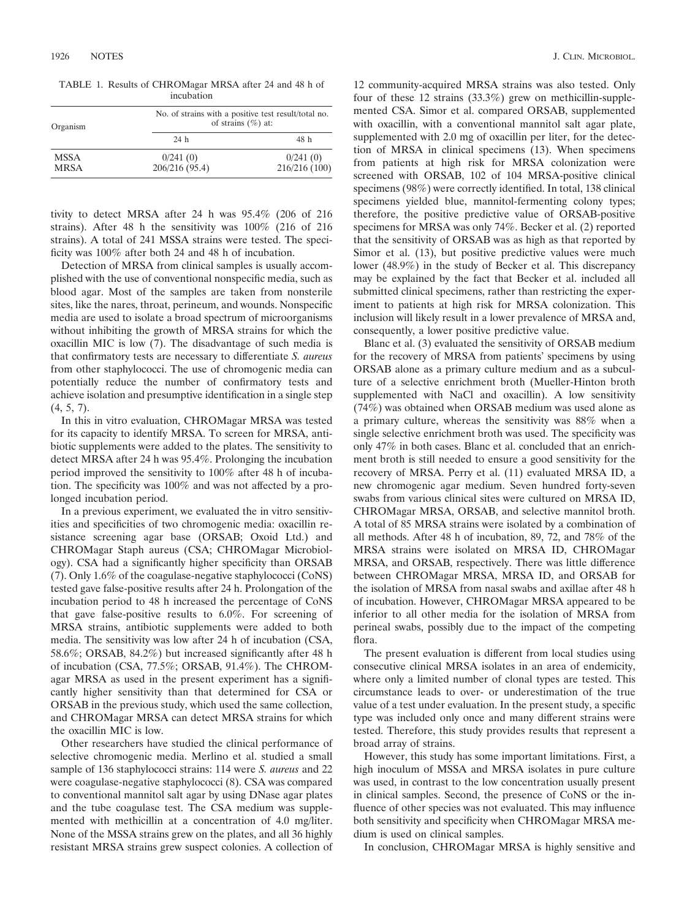TABLE 1. Results of CHROMagar MRSA after 24 and 48 h of incubation

| Organism    | No. of strains with a positive test result/total no.<br>of strains $(\% )$ at: |               |
|-------------|--------------------------------------------------------------------------------|---------------|
|             | 24 h                                                                           | 48 h          |
| <b>MSSA</b> | 0/241(0)                                                                       | 0/241(0)      |
| <b>MRSA</b> | 206/216 (95.4)                                                                 | 216/216 (100) |

tivity to detect MRSA after 24 h was 95.4% (206 of 216 strains). After 48 h the sensitivity was 100% (216 of 216 strains). A total of 241 MSSA strains were tested. The specificity was 100% after both 24 and 48 h of incubation.

Detection of MRSA from clinical samples is usually accomplished with the use of conventional nonspecific media, such as blood agar. Most of the samples are taken from nonsterile sites, like the nares, throat, perineum, and wounds. Nonspecific media are used to isolate a broad spectrum of microorganisms without inhibiting the growth of MRSA strains for which the oxacillin MIC is low (7). The disadvantage of such media is that confirmatory tests are necessary to differentiate *S. aureus* from other staphylococci. The use of chromogenic media can potentially reduce the number of confirmatory tests and achieve isolation and presumptive identification in a single step  $(4, 5, 7)$ .

In this in vitro evaluation, CHROMagar MRSA was tested for its capacity to identify MRSA. To screen for MRSA, antibiotic supplements were added to the plates. The sensitivity to detect MRSA after 24 h was 95.4%. Prolonging the incubation period improved the sensitivity to 100% after 48 h of incubation. The specificity was 100% and was not affected by a prolonged incubation period.

In a previous experiment, we evaluated the in vitro sensitivities and specificities of two chromogenic media: oxacillin resistance screening agar base (ORSAB; Oxoid Ltd.) and CHROMagar Staph aureus (CSA; CHROMagar Microbiology). CSA had a significantly higher specificity than ORSAB (7). Only 1.6% of the coagulase-negative staphylococci (CoNS) tested gave false-positive results after 24 h. Prolongation of the incubation period to 48 h increased the percentage of CoNS that gave false-positive results to 6.0%. For screening of MRSA strains, antibiotic supplements were added to both media. The sensitivity was low after 24 h of incubation (CSA, 58.6%; ORSAB, 84.2%) but increased significantly after 48 h of incubation (CSA, 77.5%; ORSAB, 91.4%). The CHROMagar MRSA as used in the present experiment has a significantly higher sensitivity than that determined for CSA or ORSAB in the previous study, which used the same collection, and CHROMagar MRSA can detect MRSA strains for which the oxacillin MIC is low.

Other researchers have studied the clinical performance of selective chromogenic media. Merlino et al. studied a small sample of 136 staphylococci strains: 114 were *S. aureus* and 22 were coagulase-negative staphylococci (8). CSA was compared to conventional mannitol salt agar by using DNase agar plates and the tube coagulase test. The CSA medium was supplemented with methicillin at a concentration of 4.0 mg/liter. None of the MSSA strains grew on the plates, and all 36 highly resistant MRSA strains grew suspect colonies. A collection of

12 community-acquired MRSA strains was also tested. Only four of these 12 strains (33.3%) grew on methicillin-supplemented CSA. Simor et al. compared ORSAB, supplemented with oxacillin, with a conventional mannitol salt agar plate, supplemented with 2.0 mg of oxacillin per liter, for the detection of MRSA in clinical specimens (13). When specimens from patients at high risk for MRSA colonization were screened with ORSAB, 102 of 104 MRSA-positive clinical specimens (98%) were correctly identified. In total, 138 clinical specimens yielded blue, mannitol-fermenting colony types; therefore, the positive predictive value of ORSAB-positive specimens for MRSA was only 74%. Becker et al. (2) reported that the sensitivity of ORSAB was as high as that reported by Simor et al. (13), but positive predictive values were much lower (48.9%) in the study of Becker et al. This discrepancy may be explained by the fact that Becker et al. included all submitted clinical specimens, rather than restricting the experiment to patients at high risk for MRSA colonization. This inclusion will likely result in a lower prevalence of MRSA and, consequently, a lower positive predictive value.

Blanc et al. (3) evaluated the sensitivity of ORSAB medium for the recovery of MRSA from patients' specimens by using ORSAB alone as a primary culture medium and as a subculture of a selective enrichment broth (Mueller-Hinton broth supplemented with NaCl and oxacillin). A low sensitivity (74%) was obtained when ORSAB medium was used alone as a primary culture, whereas the sensitivity was 88% when a single selective enrichment broth was used. The specificity was only 47% in both cases. Blanc et al. concluded that an enrichment broth is still needed to ensure a good sensitivity for the recovery of MRSA. Perry et al. (11) evaluated MRSA ID, a new chromogenic agar medium. Seven hundred forty-seven swabs from various clinical sites were cultured on MRSA ID, CHROMagar MRSA, ORSAB, and selective mannitol broth. A total of 85 MRSA strains were isolated by a combination of all methods. After 48 h of incubation, 89, 72, and 78% of the MRSA strains were isolated on MRSA ID, CHROMagar MRSA, and ORSAB, respectively. There was little difference between CHROMagar MRSA, MRSA ID, and ORSAB for the isolation of MRSA from nasal swabs and axillae after 48 h of incubation. However, CHROMagar MRSA appeared to be inferior to all other media for the isolation of MRSA from perineal swabs, possibly due to the impact of the competing flora.

The present evaluation is different from local studies using consecutive clinical MRSA isolates in an area of endemicity, where only a limited number of clonal types are tested. This circumstance leads to over- or underestimation of the true value of a test under evaluation. In the present study, a specific type was included only once and many different strains were tested. Therefore, this study provides results that represent a broad array of strains.

However, this study has some important limitations. First, a high inoculum of MSSA and MRSA isolates in pure culture was used, in contrast to the low concentration usually present in clinical samples. Second, the presence of CoNS or the influence of other species was not evaluated. This may influence both sensitivity and specificity when CHROMagar MRSA medium is used on clinical samples.

In conclusion, CHROMagar MRSA is highly sensitive and